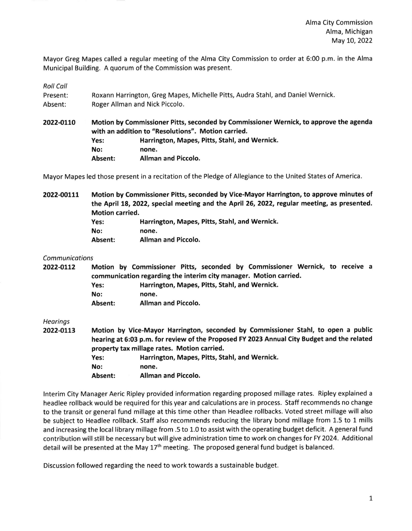Mayor Greg Mapes called a regular meeting of the Alma City Commission to order at 6:00 p.m. in the Alma Municipal Building. A quorum of the Commission was present.

Roll Coll

| Present: | Roxann Harrington, Greg Mapes, Michelle Pitts, Audra Stahl, and Daniel Wernick. |
|----------|---------------------------------------------------------------------------------|
| Absent:  | Roger Allman and Nick Piccolo.                                                  |

2022-OL70 Motion by Commissioner Pitts, seconded by Commissioner Wernick, to approve the agenda with an addition to "Resolutions". Motion carried. Yes: Harrington, Mapes, Pitts, Stahl, and Wernick. No: none. Absent: Allman and Piccolo.

Mayor Mapes led those present in a recitation of the Pledge of Allegiance to the United States of America.

2022-OOlLt Motion by Commissioner Pitts, seconded by Vice-Mayor Harrington, to approve minutes of the April 18, 2022, special meeting and the April 26, 2022, regular meeting, as presented. Motion carried. Yes: Harrington, Mapes, Pitts, Stahl, and Wernick.

| ----- |       | $\cdots$ |  |
|-------|-------|----------|--|
| No:   | none. |          |  |
|       |       |          |  |

Absent: Allman and Piccolo.

**Communications** 

2022-0112 Motion by Commissioner Pitts, seconded by Commissioner Wernick, to receive a communication regarding the interim city manager. Motion carried. Yes: Harrington, Mapes, Pitts, Stahl, and Wernick. No: none.

Absent: Allman and Piccolo.

**Hearings** 

2022-0113 Motion by Vice-Mayor Harrington, seconded by Commissioner Stahl, to open a public hearing at 6:03 p.m. for review of the Proposed FY 2023 Annual City Eudget and the related property tax millage rates, Motion carried. Yes: Harrington, Mapes, Pitts, Stahl, and Wernick. No: none.

Absent: Allman and Piccolo,

lnterim City Manager Aeric Ripley provided information regarding proposed millage rates. Ripley explained <sup>a</sup> headlee rollback would be required for this year and calculations are in process. Staff recommends no change to the transit or general fund millage at this time other than Headlee rollbacks. Voted street millage will also be subject to Headlee rollback. Staff also recommends reducing the library bond millage from 1.5 to 1 mills and increasing the local library millage from .5 to 1.0 to assist with the operating budget deficit. A general fund contribution will still be necessary but will give administration time to work on changes fot FY 2024. Additional detail will be presented at the May 17<sup>th</sup> meeting. The proposed general fund budget is balanced.

Discussion followed regarding the need to work towards a sustainable budget.